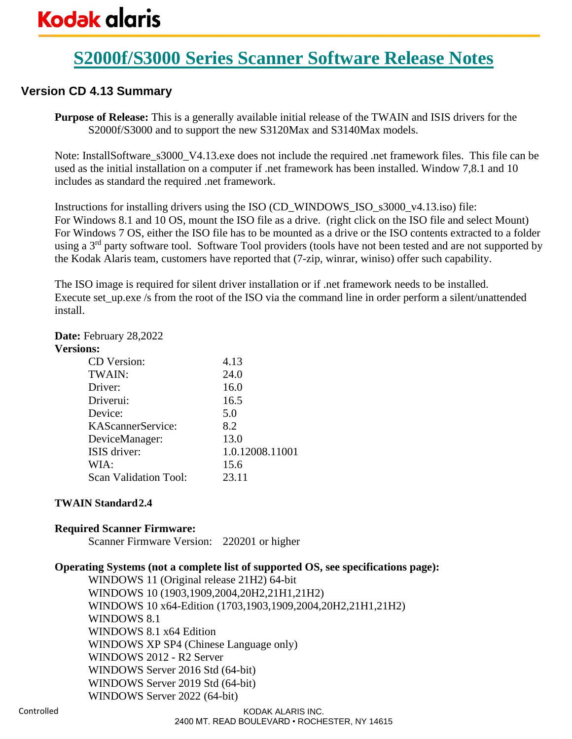## **S2000f/S3000 Series Scanner Software Release Notes**

### **Version CD 4.13 Summary**

**Purpose of Release:** This is a generally available initial release of the TWAIN and ISIS drivers for the S2000f/S3000 and to support the new S3120Max and S3140Max models.

Note: InstallSoftware\_s3000\_V4.13.exe does not include the required .net framework files. This file can be used as the initial installation on a computer if .net framework has been installed. Window 7,8.1 and 10 includes as standard the required .net framework.

Instructions for installing drivers using the ISO (CD\_WINDOWS\_ISO\_s3000\_v4.13.iso) file: For Windows 8.1 and 10 OS, mount the ISO file as a drive. (right click on the ISO file and select Mount) For Windows 7 OS, either the ISO file has to be mounted as a drive or the ISO contents extracted to a folder using a 3<sup>rd</sup> party software tool. Software Tool providers (tools have not been tested and are not supported by the Kodak Alaris team, customers have reported that (7-zip, winrar, winiso) offer such capability.

The ISO image is required for silent driver installation or if .net framework needs to be installed. Execute set\_up.exe /s from the root of the ISO via the command line in order perform a silent/unattended install.

### **Date:** February 28,2022

### **Versions:**

| CD Version:           | 4.13            |
|-----------------------|-----------------|
| TWAIN:                | 24.0            |
| Driver:               | 16.0            |
| Driverui:             | 16.5            |
| Device:               | 5.0             |
| KAScannerService:     | 8.2             |
| DeviceManager:        | 13.0            |
| ISIS driver:          | 1.0.12008.11001 |
| WIA:                  | 15.6            |
| Scan Validation Tool: | 23.11           |
|                       |                 |

### **TWAIN Standard2.4**

### **Required Scanner Firmware:**

Scanner Firmware Version: 220201 or higher

### **Operating Systems (not a complete list of supported OS, see specifications page):**

WINDOWS 11 (Original release 21H2) 64-bit WINDOWS 10 (1903,1909,2004,20H2,21H1,21H2) WINDOWS 10 x64-Edition (1703,1903,1909,2004,20H2,21H1,21H2) WINDOWS 8.1 WINDOWS 8.1 x64 Edition WINDOWS XP SP4 (Chinese Language only) WINDOWS 2012 - R2 Server WINDOWS Server 2016 Std (64-bit) WINDOWS Server 2019 Std (64-bit) WINDOWS Server 2022 (64-bit)

#### KODAK ALARIS INC. 2400 MT. READ BOULEVARD • ROCHESTER, NY 14615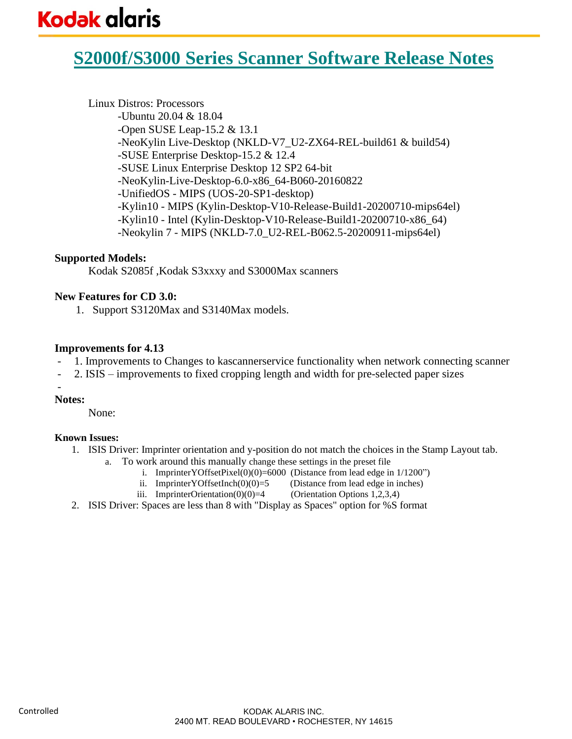## **S2000f/S3000 Series Scanner Software Release Notes**

### Linux Distros: Processors

-Ubuntu 20.04 & 18.04 -Open SUSE Leap-15.2 & 13.1 -NeoKylin Live-Desktop (NKLD-V7\_U2-ZX64-REL-build61 & build54) -SUSE Enterprise Desktop-15.2 & 12.4 -SUSE Linux Enterprise Desktop 12 SP2 64-bit -NeoKylin-Live-Desktop-6.0-x86\_64-B060-20160822 -UnifiedOS - MIPS (UOS-20-SP1-desktop) -Kylin10 - MIPS (Kylin-Desktop-V10-Release-Build1-20200710-mips64el) -Kylin10 - Intel (Kylin-Desktop-V10-Release-Build1-20200710-x86\_64) -Neokylin 7 - MIPS (NKLD-7.0 U2-REL-B062.5-20200911-mips64el)

### **Supported Models:**

Kodak S2085f ,Kodak S3xxxy and S3000Max scanners

### **New Features for CD 3.0:**

1. Support S3120Max and S3140Max models.

### **Improvements for 4.13**

- 1. Improvements to Changes to kascannerservice functionality when network connecting scanner
- 2. ISIS improvements to fixed cropping length and width for pre-selected paper sizes

### -

**Notes:** 

None:

#### **Known Issues:**

- 1. ISIS Driver: Imprinter orientation and y-position do not match the choices in the Stamp Layout tab.
	- a. To work around this manually change these settings in the preset file
		- i. ImprinterYOffsetPixel $(0)(0) = 6000$  (Distance from lead edge in  $1/1200$ ")
		- ii. ImprinterYOffsetInch $(0)(0)=5$  (Distance from lead edge in inches)
		- iii. ImprinterOrientation( $0(0)$ )=4 (Orientation Options 1,2,3,4)
- 2. ISIS Driver: Spaces are less than 8 with "Display as Spaces" option for %S format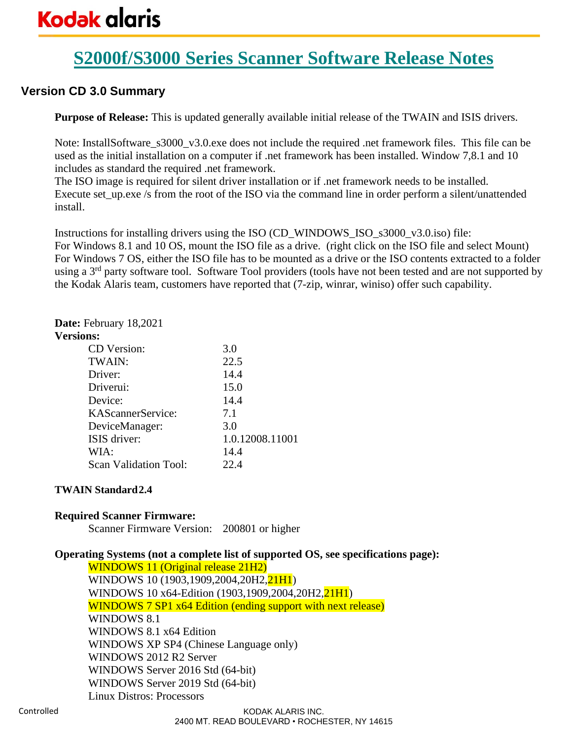# **Kodak glaris**

# **S2000f/S3000 Series Scanner Software Release Notes**

### **Version CD 3.0 Summary**

**Purpose of Release:** This is updated generally available initial release of the TWAIN and ISIS drivers.

Note: InstallSoftware\_s3000\_v3.0.exe does not include the required .net framework files. This file can be used as the initial installation on a computer if .net framework has been installed. Window 7,8.1 and 10 includes as standard the required .net framework.

The ISO image is required for silent driver installation or if .net framework needs to be installed. Execute set up.exe /s from the root of the ISO via the command line in order perform a silent/unattended install.

Instructions for installing drivers using the ISO (CD\_WINDOWS\_ISO\_s3000\_v3.0.iso) file: For Windows 8.1 and 10 OS, mount the ISO file as a drive. (right click on the ISO file and select Mount) For Windows 7 OS, either the ISO file has to be mounted as a drive or the ISO contents extracted to a folder using a 3<sup>rd</sup> party software tool. Software Tool providers (tools have not been tested and are not supported by the Kodak Alaris team, customers have reported that (7-zip, winrar, winiso) offer such capability.

### **Date:** February 18,2021

#### **Versions:**

| CD Version:           | 3.0             |
|-----------------------|-----------------|
| TWAIN:                | 22.5            |
| Driver:               | 14.4            |
| Driverui:             | 15.0            |
| Device:               | 14.4            |
| KAScannerService:     | 7.1             |
| DeviceManager:        | 3.0             |
| ISIS driver:          | 1.0.12008.11001 |
| WIA:                  | 14.4            |
| Scan Validation Tool: | 22.4            |

### **TWAIN Standard2.4**

### **Required Scanner Firmware:**

Scanner Firmware Version: 200801 or higher

### **Operating Systems (not a complete list of supported OS, see specifications page):**

WINDOWS 11 (Original release 21H2) WINDOWS 10 (1903,1909,2004,20H2,21H1) WINDOWS 10 x64-Edition (1903,1909,2004,20H2,21H1) WINDOWS 7 SP1 x64 Edition (ending support with next release) WINDOWS 8.1 WINDOWS 8.1 x64 Edition WINDOWS XP SP4 (Chinese Language only) WINDOWS 2012 R2 Server WINDOWS Server 2016 Std (64-bit) WINDOWS Server 2019 Std (64-bit) Linux Distros: Processors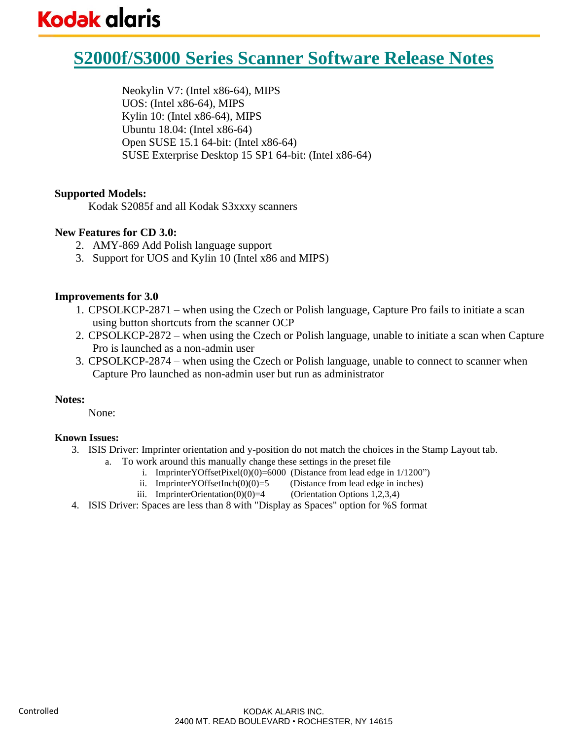# **Kodak glaris**

# **S2000f/S3000 Series Scanner Software Release Notes**

Neokylin V7: (Intel x86-64), MIPS UOS: (Intel x86-64), MIPS Kylin 10: (Intel x86-64), MIPS Ubuntu 18.04: (Intel x86-64) Open SUSE 15.1 64-bit: (Intel x86-64) SUSE Exterprise Desktop 15 SP1 64-bit: (Intel x86-64)

### **Supported Models:**

Kodak S2085f and all Kodak S3xxxy scanners

### **New Features for CD 3.0:**

- 2. AMY-869 Add Polish language support
- 3. Support for UOS and Kylin 10 (Intel x86 and MIPS)

### **Improvements for 3.0**

- 1. CPSOLKCP-2871 when using the Czech or Polish language, Capture Pro fails to initiate a scan using button shortcuts from the scanner OCP
- 2. CPSOLKCP-2872 when using the Czech or Polish language, unable to initiate a scan when Capture Pro is launched as a non-admin user
- 3. CPSOLKCP-2874 when using the Czech or Polish language, unable to connect to scanner when Capture Pro launched as non-admin user but run as administrator

### **Notes:**

None:

### **Known Issues:**

- 3. ISIS Driver: Imprinter orientation and y-position do not match the choices in the Stamp Layout tab.
	- a. To work around this manually change these settings in the preset file
		- i. ImprinterYOffsetPixel $(0)(0) = 6000$  (Distance from lead edge in  $1/1200$ ")
		- ii. ImprinterYOffsetInch $(0)(0)=5$  (Distance from lead edge in inches)
		- iii. ImprinterOrientation( $0(0)$ )=4 (Orientation Options 1,2,3,4)
- 4. ISIS Driver: Spaces are less than 8 with "Display as Spaces" option for %S format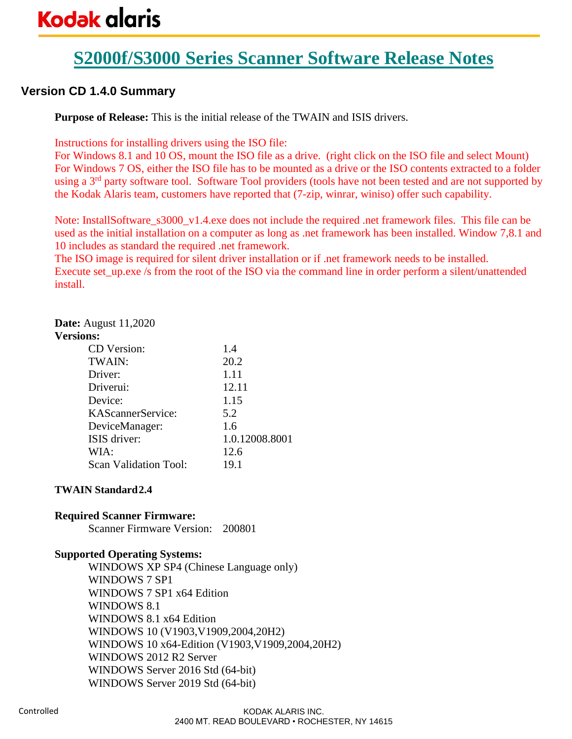# **Kodak glaris**

# **S2000f/S3000 Series Scanner Software Release Notes**

### **Version CD 1.4.0 Summary**

**Purpose of Release:** This is the initial release of the TWAIN and ISIS drivers.

Instructions for installing drivers using the ISO file:

For Windows 8.1 and 10 OS, mount the ISO file as a drive. (right click on the ISO file and select Mount) For Windows 7 OS, either the ISO file has to be mounted as a drive or the ISO contents extracted to a folder using a 3<sup>rd</sup> party software tool. Software Tool providers (tools have not been tested and are not supported by the Kodak Alaris team, customers have reported that (7-zip, winrar, winiso) offer such capability.

Note: InstallSoftware\_s3000\_v1.4.exe does not include the required .net framework files. This file can be used as the initial installation on a computer as long as .net framework has been installed. Window 7,8.1 and 10 includes as standard the required .net framework.

The ISO image is required for silent driver installation or if .net framework needs to be installed. Execute set\_up.exe /s from the root of the ISO via the command line in order perform a silent/unattended install.

### **Date:** August 11,2020

#### **Versions:**

| 1.4            |
|----------------|
|                |
| 20.2           |
| 1.11           |
| 12.11          |
| 1.15           |
| 5.2            |
| 1.6            |
| 1.0.12008.8001 |
| 12.6           |
| 19.1           |
|                |

### **TWAIN Standard2.4**

### **Required Scanner Firmware:**

Scanner Firmware Version: 200801

### **Supported Operating Systems:**

WINDOWS XP SP4 (Chinese Language only) WINDOWS 7 SP1 WINDOWS 7 SP1 x64 Edition WINDOWS 8.1 WINDOWS 8.1 x64 Edition WINDOWS 10 (V1903,V1909,2004,20H2) WINDOWS 10 x64-Edition (V1903,V1909,2004,20H2) WINDOWS 2012 R2 Server WINDOWS Server 2016 Std (64-bit) WINDOWS Server 2019 Std (64-bit)